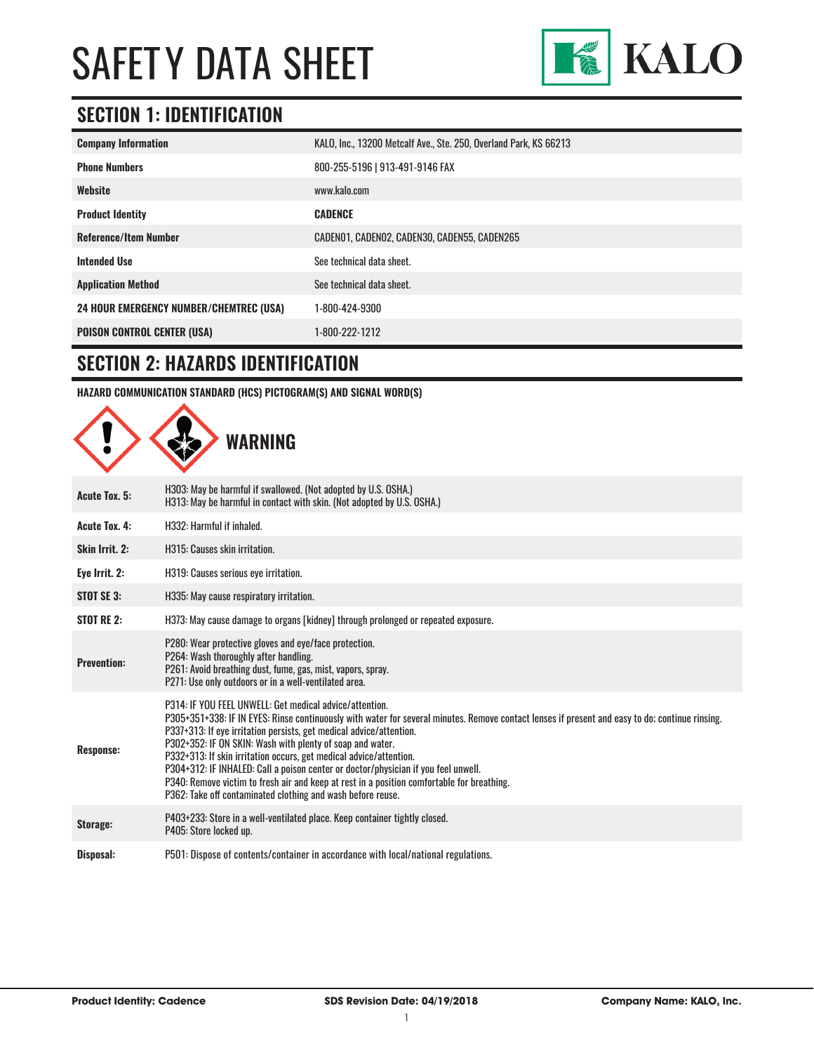

### **SECTION 1: IDENTIFICATION**

| <b>Company Information</b>                     | KALO, Inc., 13200 Metcalf Ave., Ste. 250, Overland Park, KS 66213 |  |
|------------------------------------------------|-------------------------------------------------------------------|--|
| <b>Phone Numbers</b>                           | 800-255-5196   913-491-9146 FAX                                   |  |
| Website                                        | www.kalo.com                                                      |  |
| <b>Product Identity</b>                        | <b>CADENCE</b>                                                    |  |
| <b>Reference/Item Number</b>                   | CADENO1, CADENO2, CADEN30, CADEN55, CADEN265                      |  |
| <b>Intended Use</b>                            | See technical data sheet.                                         |  |
| <b>Application Method</b>                      | See technical data sheet.                                         |  |
| <b>24 HOUR EMERGENCY NUMBER/CHEMTREC (USA)</b> | 1-800-424-9300                                                    |  |
| <b>POISON CONTROL CENTER (USA)</b>             | 1-800-222-1212                                                    |  |

#### **SECTION 2: HAZARDS IDENTIFICATION**

**HAZARD COMMUNICATION STANDARD (HCS) PICTOGRAM(S) AND SIGNAL WORD(S)**

|                      | WARNING                                                                                                                                                                                                                                                                                                                                                                                                                                                                                                                                                                                                                                                                 |
|----------------------|-------------------------------------------------------------------------------------------------------------------------------------------------------------------------------------------------------------------------------------------------------------------------------------------------------------------------------------------------------------------------------------------------------------------------------------------------------------------------------------------------------------------------------------------------------------------------------------------------------------------------------------------------------------------------|
| <b>Acute Tox. 5:</b> | H303: May be harmful if swallowed. (Not adopted by U.S. OSHA.)<br>H313: May be harmful in contact with skin. (Not adopted by U.S. OSHA.)                                                                                                                                                                                                                                                                                                                                                                                                                                                                                                                                |
| <b>Acute Tox. 4:</b> | H332: Harmful if inhaled.                                                                                                                                                                                                                                                                                                                                                                                                                                                                                                                                                                                                                                               |
| Skin Irrit. 2:       | H315: Causes skin irritation.                                                                                                                                                                                                                                                                                                                                                                                                                                                                                                                                                                                                                                           |
| Eye Irrit. 2:        | H319: Causes serious eye irritation.                                                                                                                                                                                                                                                                                                                                                                                                                                                                                                                                                                                                                                    |
| STOT SE 3:           | H335: May cause respiratory irritation.                                                                                                                                                                                                                                                                                                                                                                                                                                                                                                                                                                                                                                 |
| <b>STOT RE 2:</b>    | H373: May cause damage to organs [kidney] through prolonged or repeated exposure.                                                                                                                                                                                                                                                                                                                                                                                                                                                                                                                                                                                       |
| <b>Prevention:</b>   | P280: Wear protective gloves and eye/face protection.<br>P264: Wash thoroughly after handling.<br>P261: Avoid breathing dust, fume, gas, mist, vapors, spray.<br>P271: Use only outdoors or in a well-ventilated area.                                                                                                                                                                                                                                                                                                                                                                                                                                                  |
| <b>Response:</b>     | P314: IF YOU FEEL UNWELL: Get medical advice/attention.<br>P305+351+338: IF IN EYES: Rinse continuously with water for several minutes. Remove contact lenses if present and easy to do; continue rinsing.<br>P337+313: If eye irritation persists, get medical advice/attention.<br>P302+352: IF ON SKIN: Wash with plenty of soap and water.<br>P332+313: If skin irritation occurs, get medical advice/attention.<br>P304+312: IF INHALED: Call a poison center or doctor/physician if you feel unwell.<br>P340: Remove victim to fresh air and keep at rest in a position comfortable for breathing.<br>P362: Take off contaminated clothing and wash before reuse. |
| Storage:             | P403+233: Store in a well-ventilated place. Keep container tightly closed.<br>P405: Store locked up.                                                                                                                                                                                                                                                                                                                                                                                                                                                                                                                                                                    |
| Disposal:            | P501: Dispose of contents/container in accordance with local/national regulations.                                                                                                                                                                                                                                                                                                                                                                                                                                                                                                                                                                                      |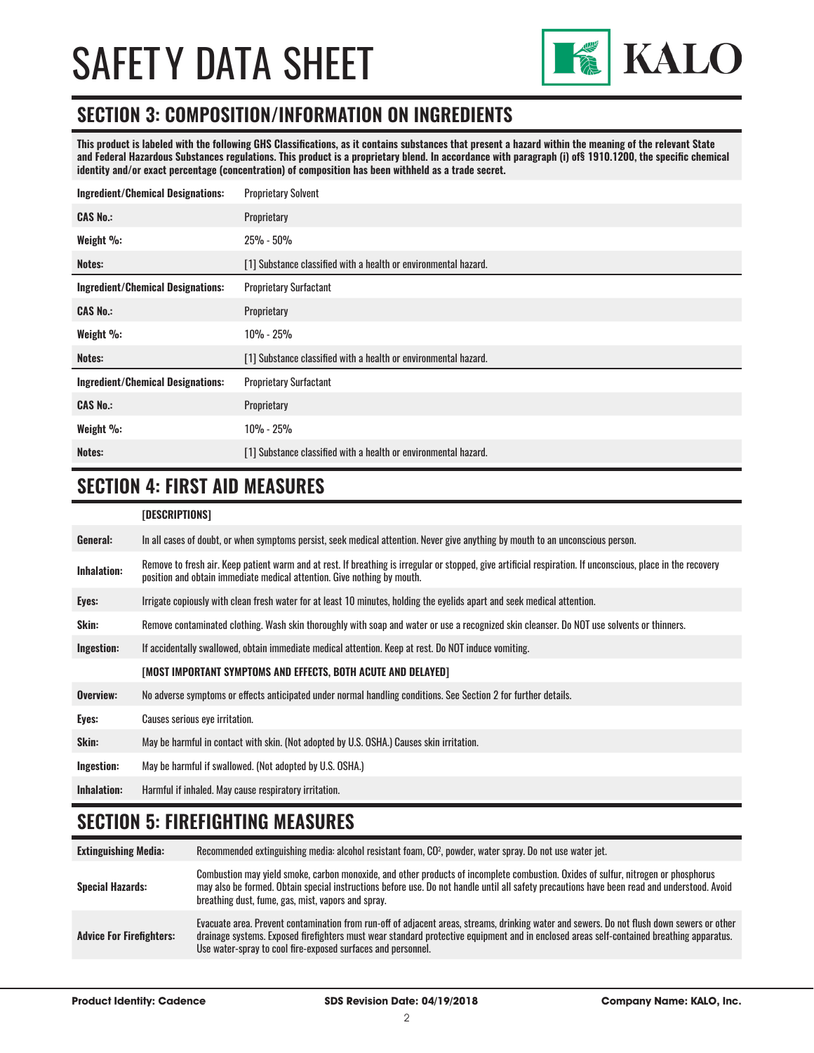

#### **SECTION 3: COMPOSITION/INFORMATION ON INGREDIENTS**

**This product is labeled with the following GHS Classifications, as it contains substances that present a hazard within the meaning of the relevant State and Federal Hazardous Substances regulations. This product is a proprietary blend. In accordance with paragraph (i) of§ 1910.1200, the specific chemical identity and/or exact percentage (concentration) of composition has been withheld as a trade secret.**

| <b>Ingredient/Chemical Designations:</b> | <b>Proprietary Solvent</b>                                      |
|------------------------------------------|-----------------------------------------------------------------|
| <b>CAS No.:</b>                          | Proprietary                                                     |
| Weight %:                                | $25\% - 50\%$                                                   |
| Notes:                                   | [1] Substance classified with a health or environmental hazard. |
| <b>Ingredient/Chemical Designations:</b> | <b>Proprietary Surfactant</b>                                   |
| <b>CAS No.:</b>                          | Proprietary                                                     |
| Weight %:                                | $10\% - 25\%$                                                   |
| Notes:                                   | [1] Substance classified with a health or environmental hazard. |
| <b>Ingredient/Chemical Designations:</b> | <b>Proprietary Surfactant</b>                                   |
| <b>CAS No.:</b>                          | Proprietary                                                     |
| Weight %:                                | $10\% - 25\%$                                                   |
| Notes:                                   | [1] Substance classified with a health or environmental hazard. |

### **SECTION 4: FIRST AID MEASURES**

#### **[DESCRIPTIONS]**

| General:           | In all cases of doubt, or when symptoms persist, seek medical attention. Never give anything by mouth to an unconscious person.                                                                                                         |
|--------------------|-----------------------------------------------------------------------------------------------------------------------------------------------------------------------------------------------------------------------------------------|
| <b>Inhalation:</b> | Remove to fresh air. Keep patient warm and at rest. If breathing is irregular or stopped, give artificial respiration. If unconscious, place in the recovery<br>position and obtain immediate medical attention. Give nothing by mouth. |
| Eyes:              | Irrigate copiously with clean fresh water for at least 10 minutes, holding the eyelids apart and seek medical attention.                                                                                                                |
| Skin:              | Remove contaminated clothing. Wash skin thoroughly with soap and water or use a recognized skin cleanser. Do NOT use solvents or thinners.                                                                                              |
| Ingestion:         | If accidentally swallowed, obtain immediate medical attention. Keep at rest. Do NOT induce vomiting.                                                                                                                                    |
|                    | [MOST IMPORTANT SYMPTOMS AND EFFECTS, BOTH ACUTE AND DELAYED]                                                                                                                                                                           |
| Overview:          | No adverse symptoms or effects anticipated under normal handling conditions. See Section 2 for further details.                                                                                                                         |
| Eyes:              | Causes serious eye irritation.                                                                                                                                                                                                          |
| Skin:              | May be harmful in contact with skin. (Not adopted by U.S. OSHA.) Causes skin irritation.                                                                                                                                                |
| Ingestion:         | May be harmful if swallowed. (Not adopted by U.S. OSHA.)                                                                                                                                                                                |
| <b>Inhalation:</b> | Harmful if inhaled. May cause respiratory irritation.                                                                                                                                                                                   |

#### **SECTION 5: FIREFIGHTING MEASURES**

| <b>Extinguishing Media:</b>     | Recommended extinguishing media: alcohol resistant foam, CO <sup>2</sup> , powder, water spray. Do not use water jet.                                                                                                                                                                                                                                  |
|---------------------------------|--------------------------------------------------------------------------------------------------------------------------------------------------------------------------------------------------------------------------------------------------------------------------------------------------------------------------------------------------------|
| <b>Special Hazards:</b>         | Combustion may yield smoke, carbon monoxide, and other products of incomplete combustion. Oxides of sulfur, nitrogen or phosphorus<br>may also be formed. Obtain special instructions before use. Do not handle until all safety precautions have been read and understood. Avoid<br>breathing dust, fume, gas, mist, vapors and spray.                |
| <b>Advice For Firefighters:</b> | Evacuate area. Prevent contamination from run-off of adjacent areas, streams, drinking water and sewers. Do not flush down sewers or other<br>drainage systems. Exposed firefighters must wear standard protective equipment and in enclosed areas self-contained breathing apparatus.<br>Use water-spray to cool fire-exposed surfaces and personnel. |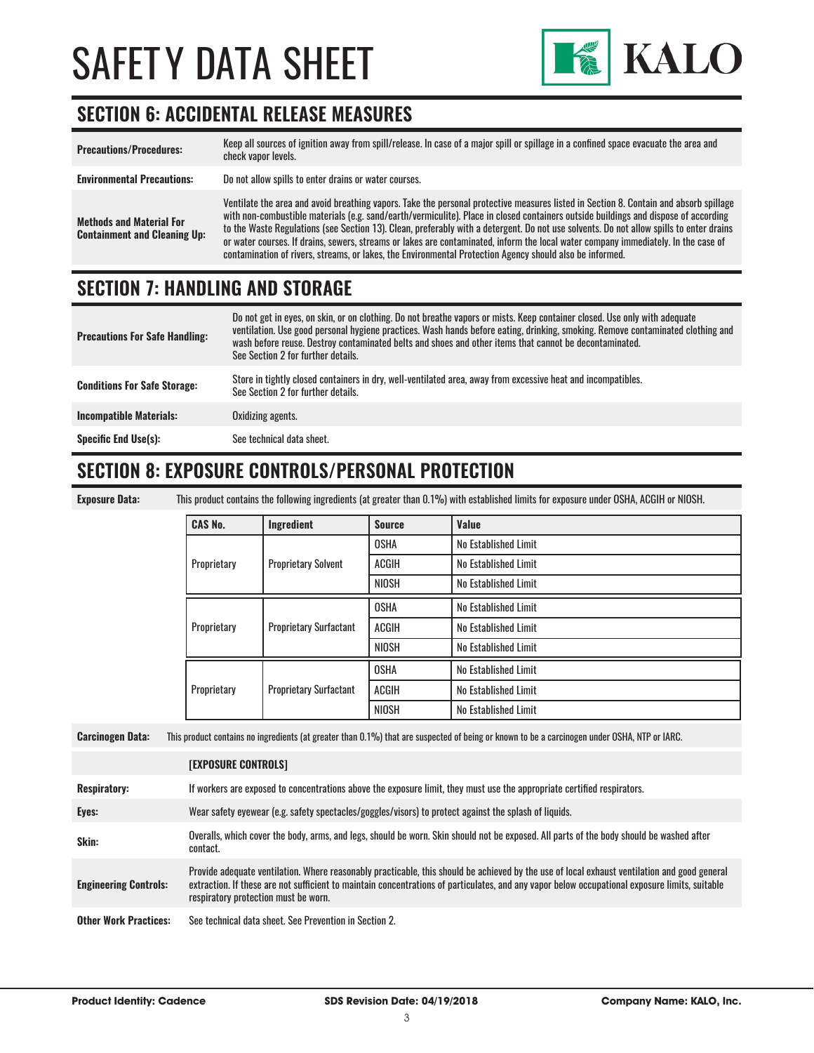

### **SECTION 6: ACCIDENTAL RELEASE MEASURES**

| <b>Precautions/Procedures:</b>                                         | Keep all sources of ignition away from spill/release. In case of a major spill or spillage in a confined space evacuate the area and<br>check vapor levels.                                                                                                                                                                                                                                                                                                                                                                                                                                                                                                               |
|------------------------------------------------------------------------|---------------------------------------------------------------------------------------------------------------------------------------------------------------------------------------------------------------------------------------------------------------------------------------------------------------------------------------------------------------------------------------------------------------------------------------------------------------------------------------------------------------------------------------------------------------------------------------------------------------------------------------------------------------------------|
| <b>Environmental Precautions:</b>                                      | Do not allow spills to enter drains or water courses.                                                                                                                                                                                                                                                                                                                                                                                                                                                                                                                                                                                                                     |
| <b>Methods and Material For</b><br><b>Containment and Cleaning Up:</b> | Ventilate the area and avoid breathing vapors. Take the personal protective measures listed in Section 8. Contain and absorb spillage<br>with non-combustible materials (e.g. sand/earth/vermiculite). Place in closed containers outside buildings and dispose of according<br>to the Waste Regulations (see Section 13). Clean, preferably with a detergent. Do not use solvents. Do not allow spills to enter drains<br>or water courses. If drains, sewers, streams or lakes are contaminated, inform the local water company immediately. In the case of<br>contamination of rivers, streams, or lakes, the Environmental Protection Agency should also be informed. |

### **SECTION 7: HANDLING AND STORAGE**

| <b>Precautions For Safe Handling:</b> | Do not get in eyes, on skin, or on clothing. Do not breathe vapors or mists. Keep container closed. Use only with adequate<br>ventilation. Use good personal hygiene practices. Wash hands before eating, drinking, smoking. Remove contaminated clothing and<br>wash before reuse. Destroy contaminated belts and shoes and other items that cannot be decontaminated.<br>See Section 2 for further details. |
|---------------------------------------|---------------------------------------------------------------------------------------------------------------------------------------------------------------------------------------------------------------------------------------------------------------------------------------------------------------------------------------------------------------------------------------------------------------|
| <b>Conditions For Safe Storage:</b>   | Store in tightly closed containers in dry, well-ventilated area, away from excessive heat and incompatibles.<br>See Section 2 for further details.                                                                                                                                                                                                                                                            |
| <b>Incompatible Materials:</b>        | Oxidizing agents.                                                                                                                                                                                                                                                                                                                                                                                             |
| <b>Specific End Use(s):</b>           | See technical data sheet.                                                                                                                                                                                                                                                                                                                                                                                     |

### **SECTION 8: EXPOSURE CONTROLS/PERSONAL PROTECTION**

**Exposure Data:** This product contains the following ingredients (at greater than 0.1%) with established limits for exposure under OSHA, ACGIH or NIOSH.

| <b>CAS No.</b> | Ingredient                    | <b>Source</b> | Value                |
|----------------|-------------------------------|---------------|----------------------|
| Proprietary    |                               | <b>OSHA</b>   | No Established Limit |
|                | <b>Proprietary Solvent</b>    | <b>ACGIH</b>  | No Established Limit |
|                |                               | <b>NIOSH</b>  | No Established Limit |
| Proprietary    |                               | <b>OSHA</b>   | No Established Limit |
|                | <b>Proprietary Surfactant</b> | ACGIH         | No Established Limit |
|                |                               | <b>NIOSH</b>  | No Established Limit |
| Proprietary    |                               | <b>OSHA</b>   | No Established Limit |
|                | <b>Proprietary Surfactant</b> | ACGIH         | No Established Limit |
|                |                               | <b>NIOSH</b>  | No Established Limit |

**Carcinogen Data:** This product contains no ingredients (at greater than 0.1%) that are suspected of being or known to be a carcinogen under OSHA, NTP or IARC.

|                              | <b>[EXPOSURE CONTROLS]</b>                                                                                                                                                                                                                                                                                                             |
|------------------------------|----------------------------------------------------------------------------------------------------------------------------------------------------------------------------------------------------------------------------------------------------------------------------------------------------------------------------------------|
| <b>Respiratory:</b>          | If workers are exposed to concentrations above the exposure limit, they must use the appropriate certified respirators.                                                                                                                                                                                                                |
| Eyes:                        | Wear safety eyewear (e.g. safety spectacles/goggles/visors) to protect against the splash of liquids.                                                                                                                                                                                                                                  |
| Skin:                        | Overalls, which cover the body, arms, and legs, should be worn. Skin should not be exposed. All parts of the body should be washed after<br>contact.                                                                                                                                                                                   |
| <b>Engineering Controls:</b> | Provide adequate ventilation. Where reasonably practicable, this should be achieved by the use of local exhaust ventilation and good general<br>extraction. If these are not sufficient to maintain concentrations of particulates, and any vapor below occupational exposure limits, suitable<br>respiratory protection must be worn. |
| <b>Other Work Practices:</b> | See technical data sheet. See Prevention in Section 2.                                                                                                                                                                                                                                                                                 |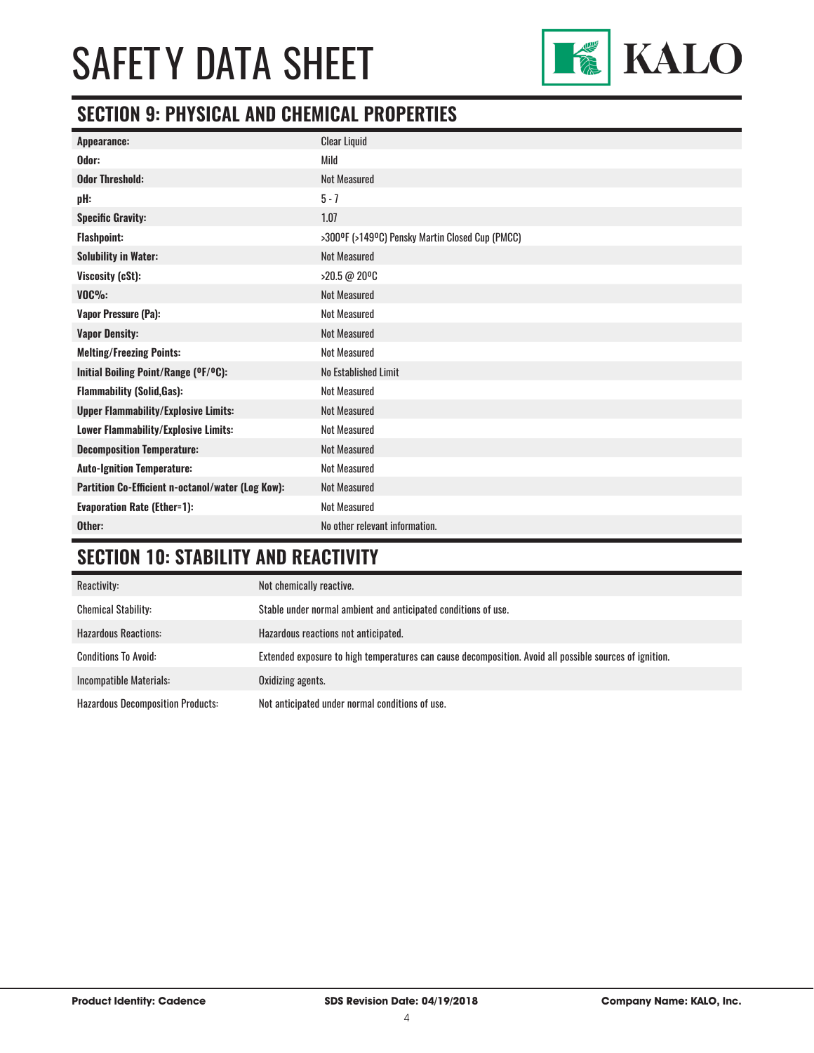

### **SECTION 9: PHYSICAL AND CHEMICAL PROPERTIES**

| Appearance:                                       | <b>Clear Liquid</b>                             |
|---------------------------------------------------|-------------------------------------------------|
| Odor:                                             | Mild                                            |
| <b>Odor Threshold:</b>                            | <b>Not Measured</b>                             |
| pH:                                               | $5 - 7$                                         |
| <b>Specific Gravity:</b>                          | 1.07                                            |
| <b>Flashpoint:</b>                                | >300°F (>149°C) Pensky Martin Closed Cup (PMCC) |
| <b>Solubility in Water:</b>                       | <b>Not Measured</b>                             |
| Viscosity (cSt):                                  | >20.5 @ 20°C                                    |
| $VOC\%$                                           | <b>Not Measured</b>                             |
| Vapor Pressure (Pa):                              | <b>Not Measured</b>                             |
| <b>Vapor Density:</b>                             | <b>Not Measured</b>                             |
| <b>Melting/Freezing Points:</b>                   | <b>Not Measured</b>                             |
| Initial Boiling Point/Range (OF/OC):              | No Established Limit                            |
| <b>Flammability (Solid, Gas):</b>                 | <b>Not Measured</b>                             |
| <b>Upper Flammability/Explosive Limits:</b>       | <b>Not Measured</b>                             |
| Lower Flammability/Explosive Limits:              | <b>Not Measured</b>                             |
| <b>Decomposition Temperature:</b>                 | <b>Not Measured</b>                             |
| <b>Auto-Ignition Temperature:</b>                 | <b>Not Measured</b>                             |
| Partition Co-Efficient n-octanol/water (Log Kow): | <b>Not Measured</b>                             |
| <b>Evaporation Rate (Ether=1):</b>                | <b>Not Measured</b>                             |
| Other:                                            | No other relevant information.                  |

### **SECTION 10: STABILITY AND REACTIVITY**

| Reactivity:                              | Not chemically reactive.                                                                                |
|------------------------------------------|---------------------------------------------------------------------------------------------------------|
| <b>Chemical Stability:</b>               | Stable under normal ambient and anticipated conditions of use.                                          |
| <b>Hazardous Reactions:</b>              | Hazardous reactions not anticipated.                                                                    |
| <b>Conditions To Avoid:</b>              | Extended exposure to high temperatures can cause decomposition. Avoid all possible sources of ignition. |
| Incompatible Materials:                  | Oxidizing agents.                                                                                       |
| <b>Hazardous Decomposition Products:</b> | Not anticipated under normal conditions of use.                                                         |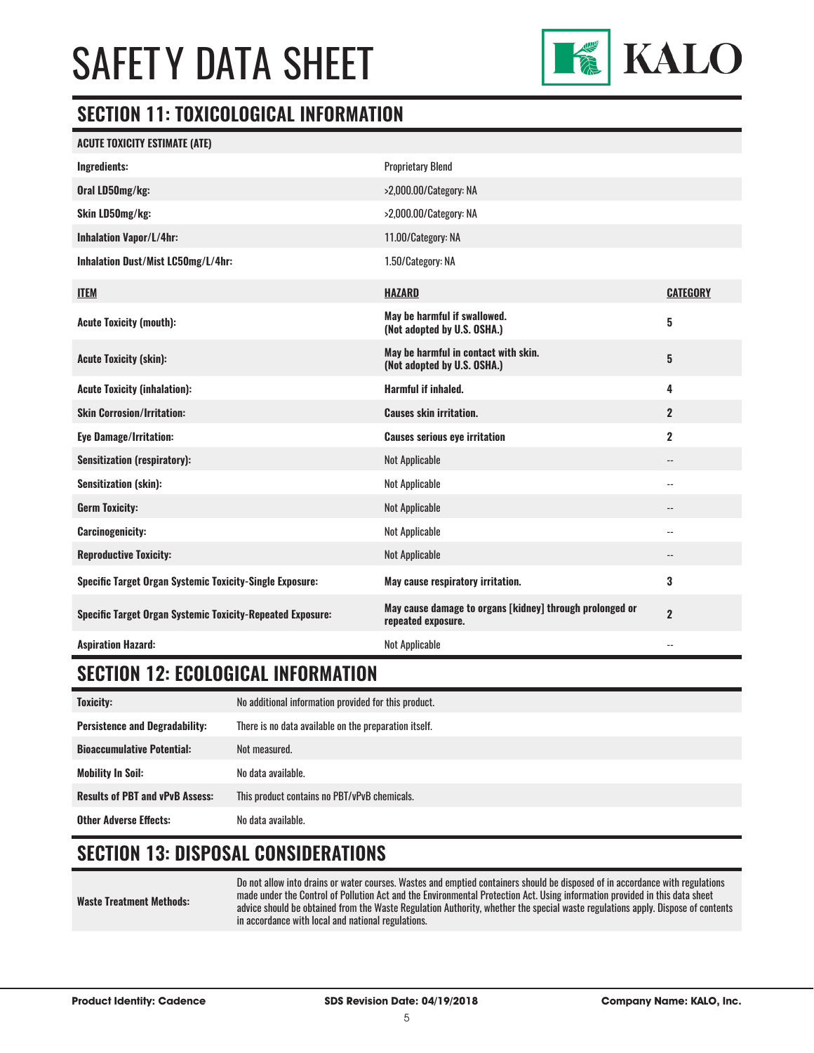

### **SECTION 11: TOXICOLOGICAL INFORMATION**

| <b>ACUTE TOXICITY ESTIMATE (ATE)</b>                              |                                                                                |                          |
|-------------------------------------------------------------------|--------------------------------------------------------------------------------|--------------------------|
| Ingredients:                                                      | <b>Proprietary Blend</b>                                                       |                          |
| Oral LD50mg/kg:                                                   | >2,000.00/Category: NA                                                         |                          |
| Skin LD50mg/kg:                                                   | >2,000.00/Category: NA                                                         |                          |
| <b>Inhalation Vapor/L/4hr:</b>                                    | 11.00/Category: NA                                                             |                          |
| Inhalation Dust/Mist LC50mg/L/4hr:                                | 1.50/Category: NA                                                              |                          |
| <b>ITEM</b>                                                       | <b>HAZARD</b>                                                                  | <b>CATEGORY</b>          |
| <b>Acute Toxicity (mouth):</b>                                    | May be harmful if swallowed.<br>(Not adopted by U.S. OSHA.)                    | $\overline{\mathbf{5}}$  |
| <b>Acute Toxicity (skin):</b>                                     | May be harmful in contact with skin.<br>(Not adopted by U.S. OSHA.)            | $\bf 5$                  |
| <b>Acute Toxicity (inhalation):</b>                               | Harmful if inhaled.                                                            | 4                        |
| <b>Skin Corrosion/Irritation:</b>                                 | <b>Causes skin irritation.</b>                                                 | $\overline{2}$           |
| <b>Eye Damage/Irritation:</b>                                     | <b>Causes serious eye irritation</b>                                           | $\mathbf 2$              |
| <b>Sensitization (respiratory):</b>                               | Not Applicable                                                                 | $\overline{\phantom{a}}$ |
| <b>Sensitization (skin):</b>                                      | Not Applicable                                                                 | $\overline{\phantom{a}}$ |
| <b>Germ Toxicity:</b>                                             | Not Applicable                                                                 | $\overline{\phantom{a}}$ |
| <b>Carcinogenicity:</b>                                           | Not Applicable                                                                 | $-$                      |
| <b>Reproductive Toxicity:</b>                                     | Not Applicable                                                                 | --                       |
| <b>Specific Target Organ Systemic Toxicity-Single Exposure:</b>   | May cause respiratory irritation.                                              | 3                        |
| <b>Specific Target Organ Systemic Toxicity-Repeated Exposure:</b> | May cause damage to organs [kidney] through prolonged or<br>repeated exposure. | $\overline{2}$           |
| <b>Aspiration Hazard:</b>                                         | <b>Not Applicable</b>                                                          | $\overline{\phantom{a}}$ |

### **SECTION 12: ECOLOGICAL INFORMATION**

| <b>Toxicity:</b>                       | No additional information provided for this product.  |  |
|----------------------------------------|-------------------------------------------------------|--|
| <b>Persistence and Degradability:</b>  | There is no data available on the preparation itself. |  |
| <b>Bioaccumulative Potential:</b>      | Not measured.                                         |  |
| <b>Mobility In Soil:</b>               | No data available.                                    |  |
| <b>Results of PBT and vPvB Assess:</b> | This product contains no PBT/vPvB chemicals.          |  |
| <b>Other Adverse Effects:</b>          | No data available.                                    |  |

### **SECTION 13: DISPOSAL CONSIDERATIONS**

**Waste Treatment Methods:** Do not allow into drains or water courses. Wastes and emptied containers should be disposed of in accordance with regulations made under the Control of Pollution Act and the Environmental Protection Act. Using information provided in this data sheet advice should be obtained from the Waste Regulation Authority, whether the special waste regulations apply. Dispose of contents in accordance with local and national regulations.